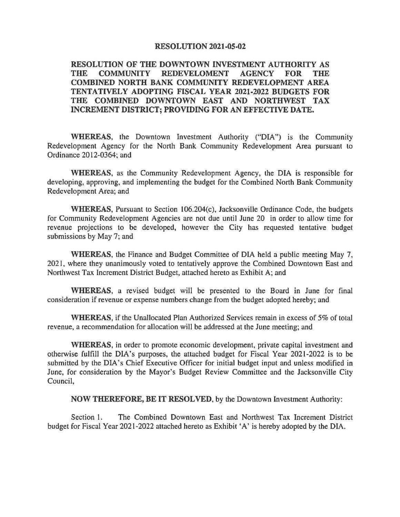## **RESOLUTION 2021-05-02**

## **RESOLUTION OF THE DOWNTOWN INVESTMENT AUTHORITY AS THE COMMUNITY REDEVELOMENT AGENCY FOR THE COMBINED NORTH BANK COMMUNITY REDEVELOPMENT AREA TENTATIVELY ADOPTING FISCAL YEAR 2021-2022 BUDGETS FOR THE COMBINED DOWNTOWN EAST AND NORTHWEST TAX INCREMENT DISTRICT; PROVIDING FOR AN EFFECTIVE DATE.**

**WHEREAS,** the Downtown Investment Authority ("DIA") is the Community Redevelopment Agency for the North Bank Community Redevelopment Area pursuant to Ordinance 2012-0364; and

**WHEREAS,** as the Community Redevelopment Agency, the DIA is responsible for developing, approving, and implementing the budget for the Combined North Bank Community Redevelopment Area; and

**WHEREAS,** Pursuant to Section l06.204(c), Jacksonville Ordinance Code, the budgets for Community Redevelopment Agencies are not due until June 20 in order to allow time for revenue projections to be developed, however the City has requested tentative budget submissions by May 7; and

**WHEREAS,** the Finance and Budget Committee of DIA held a public meeting May 7, 2021, where they unanimously voted to tentatively approve the Combined Downtown East and Northwest Tax Increment District Budget, attached hereto as Exhibit A; and

**WHEREAS,** a revised budget will be presented to the Board in June for final consideration if revenue or expense numbers change from the budget adopted hereby; and

**WHEREAS,** if the Unallocated Plan Authorized Services remain in excess of 5% of total revenue, a recommendation for allocation will be addressed at the June meeting; and

**WHEREAS,** in order to promote economic development, private capital investment and otherwise fulfill the DIA's purposes, the attached budget for Fiscal Year 2021-2022 is to be submitted by the DIA's Chief Executive Officer for initial budget input and unless modified in June, for consideration by the Mayor's Budget Review Committee and the Jacksonville City Council,

**NOW THEREFORE, BE IT RESOLVED,** by the Downtown Investment Authority:

Section I. The Combined Downtown East and Northwest Tax Increment District budget for Fiscal Year 2021-2022 attached hereto as Exhibit 'A' is hereby adopted by the DIA.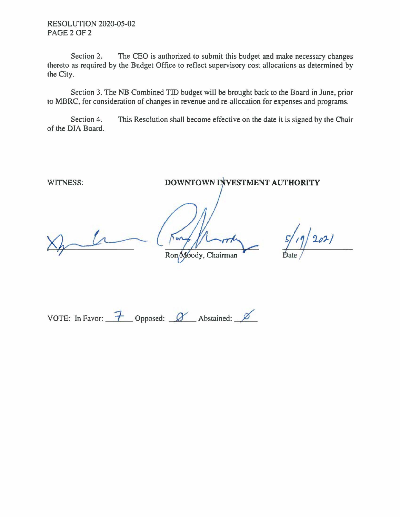RESOLUTION 2020-05-02 PAGE 2 OF 2

Section 2. The CEO is authorized to submit this budget and make necessary changes thereto as required by the Budget Office to reflect supervisory cost allocations as determined by the City.

Section 3. The NB Combined TID budget will be brought back to the Board in June, prior to MBRC, for consideration of changes in revenue and re-allocation for expenses and programs.

Section 4. This Resolution shall become effective on the date it is signed by the Chair of the DIA Board.

WITNESS: **DOWNTOWN INVESTMENT AUTHORITY** 

**UN** 

 $202/$ 

Ron Moody, Chairman

VOTE: In Favor:  $\frac{7}{1}$  Opposed:  $\alpha$  Abstained:  $\beta$